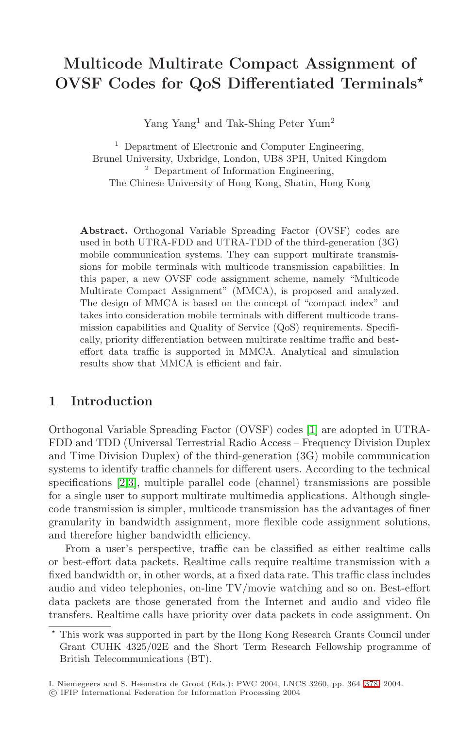# **Multicode Multirate Compact Assignment of OVSF Codes for QoS Differentiated Terminals**

Yang Yang<sup>1</sup> and Tak-Shing Peter Yum<sup>2</sup>

<sup>1</sup> Department of Electronic and Computer Engineering, Brunel University, Uxbridge, London, UB8 3PH, United Kingdom <sup>2</sup> Department of Information Engineering, The Chinese University of Hong Kong, Shatin, Hong Kong

**Abstract.** Orthogonal Variable Spreading Factor (OVSF) codes are used in both UTRA-FDD and UTRA-TDD of the third-generation (3G) mobile communication systems. They can support multirate transmissions for mobile terminals with multicode transmission capabilities. In this paper, a new OVSF code assignment scheme, namely "Multicode Multirate Compact Assignment" (MMCA), is proposed and analyzed. The design of MMCA is based on the concept of "compact index" and takes into consideration mobile terminals with different multicode transmission capabilities and Quality of Service (QoS) requirements. Specifically, priority differentiation between multirate realtime traffic and besteffort data traffic is supported in MMCA. Analytical and simulation results show that MMCA is efficient and fair.

## **1 Introduction**

Orthogonal Variable Spreading Factor (OVSF) codes [\[1\]](#page-13-0) are adopted in UTRA-FDD and TDD (Universal Terrestrial Radio Access – Frequency Division Duplex and Time Division Duplex) of the third-generation (3G) mobile communication systems to identify traffic channels for different users. According to the technical specifications [\[2,3\]](#page-13-0), multiple parallel code (channel) transmissions are possible for a single user to support multirate multimedia applications. Although singlecode transmission is simpler, multicode transmission has the advantages of finer granularity in bandwidth assignment, more flexible code assignment solutions, and therefore higher bandwidth efficiency.

From a user's perspective, traffic can be classified as either realtime calls or best-effort data packets. Realtime calls require realtime transmission with a fixed bandwidth or, in other words, at a fixed data rate. This traffic class includes audio and video telephonies, on-line TV/movie watching and so on. Best-effort data packets are those generated from the Internet and audio and video file transfers. Realtime calls have priority over data packets in code assignment. On

<sup>\*</sup> This work was supported in part by the Hong Kong Research Grants Council under Grant CUHK 4325/02E and the Short Term Research Fellowship programme of British Telecommunications (BT).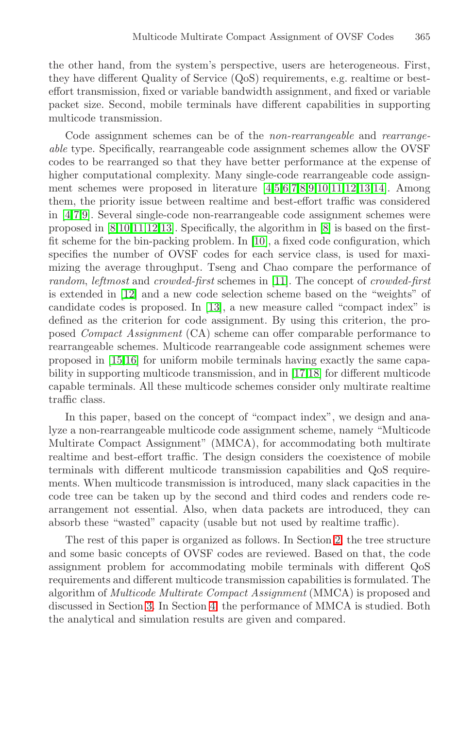the other hand, from the system's perspective, users are heterogeneous. First, they have different Quality of Service (QoS) requirements, e.g. realtime or besteffort transmission, fixed or variable bandwidth assignment, and fixed or variable packet size. Second, mobile terminals have different capabilities in supporting multicode transmission.

Code assignment schemes can be of the *non-rearrangeable* and *rearrangeable* type. Specifically, rearrangeable code assignment schemes allow the OVSF codes to be rearranged so that they have better performance at the expense of higher computational complexity. Many single-code rearrangeable code assignment schemes were proposed in literature [\[4](#page-13-0)[,5,6,7,8,9,10,11,12,13,14\]](#page-14-0). Among them, the priority issue between realtime and best-effort traffic was considered in [\[4](#page-13-0)[,7,9\]](#page-14-0). Several single-code non-rearrangeable code assignment schemes were proposed in [\[8,10,11,12,13\]](#page-14-0). Specifically, the algorithm in [\[8\]](#page-14-0) is based on the firstfit scheme for the bin-packing problem. In [\[10\]](#page-14-0), a fixed code configuration, which specifies the number of OVSF codes for each service class, is used for maximizing the average throughput. Tseng and Chao compare the performance of *random*, *leftmost* and *crowded-first* schemes in [\[11\]](#page-14-0). The concept of *crowded-first* is extended in [\[12\]](#page-14-0) and a new code selection scheme based on the "weights" of candidate codes is proposed. In [\[13\]](#page-14-0), a new measure called "compact index" is defined as the criterion for code assignment. By using this criterion, the proposed *Compact Assignment* (CA) scheme can offer comparable performance to rearrangeable schemes. Multicode rearrangeable code assignment schemes were proposed in [\[15,16\]](#page-14-0) for uniform mobile terminals having exactly the same capability in supporting multicode transmission, and in [\[17,18\]](#page-14-0) for different multicode capable terminals. All these multicode schemes consider only multirate realtime traffic class.

In this paper, based on the concept of "compact index", we design and analyze a non-rearrangeable multicode code assignment scheme, namely "Multicode Multirate Compact Assignment" (MMCA), for accommodating both multirate realtime and best-effort traffic. The design considers the coexistence of mobile terminals with different multicode transmission capabilities and QoS requirements. When multicode transmission is introduced, many slack capacities in the code tree can be taken up by the second and third codes and renders code rearrangement not essential. Also, when data packets are introduced, they can absorb these "wasted" capacity (usable but not used by realtime traffic).

The rest of this paper is organized as follows. In Section 2, the tree structure and some basic concepts of OVSF codes are reviewed. Based on that, the code assignment problem for accommodating mobile terminals with different QoS requirements and different multicode transmission capabilities is formulated. The algorithm of *Multicode Multirate Compact Assignment* (MMCA) is proposed and discussed in Section [3.](#page-4-0) In Section [4,](#page-8-0) the performance of MMCA is studied. Both the analytical and simulation results are given and compared.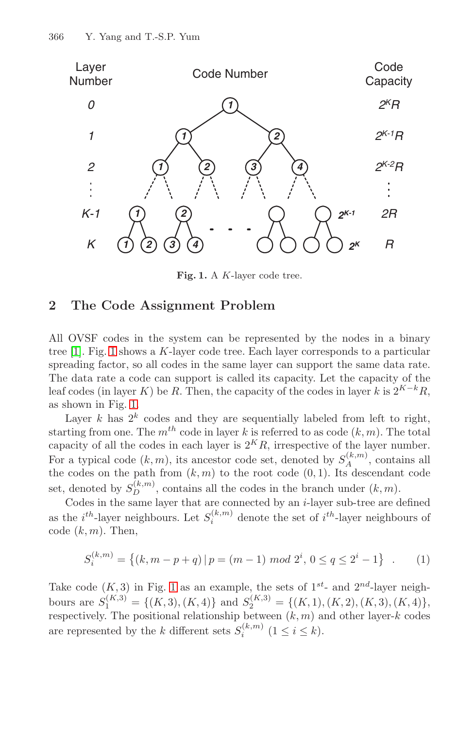

**Fig. 1.** <sup>A</sup> <sup>K</sup>-layer code tree.

### **2 The Code Assignment Problem**

All OVSF codes in the system can be represented by the nodes in a binary tree  $[1]$ . Fig. 1 shows a K-layer code tree. Each layer corresponds to a particular spreading factor, so all codes in the same layer can support the same data rate. The data rate a code can support is called its capacity. Let the capacity of the leaf codes (in layer K) be R. Then, the capacity of the codes in layer k is  $2^{K-k}R$ , as shown in Fig. 1.

Layer k has  $2^k$  codes and they are sequentially labeled from left to right, starting from one. The  $m^{th}$  code in layer k is referred to as code  $(k, m)$ . The total capacity of all the codes in each layer is  $2^K R$ , irrespective of the layer number. For a typical code  $(k, m)$ , its ancestor code set, denoted by  $S_A^{(k,m)}$ , contains all the codes on the path from  $(k, m)$  to the root code  $(0, 1)$ . Its descendant code set, denoted by  $S_D^{(k,m)}$ , contains all the codes in the branch under  $(k,m)$ .

Codes in the same layer that are connected by an i-layer sub-tree are defined as the  $i^{th}$ -layer neighbours. Let  $S_i^{(k,m)}$  denote the set of  $i^{th}$ -layer neighbours of code  $(k,m)$ . Then,

$$
S_i^{(k,m)} = \left\{ (k, m-p+q) \, | \, p = (m-1) \bmod 2^i, \, 0 \le q \le 2^i - 1 \right\} \quad . \tag{1}
$$

Take code  $(K,3)$  in Fig. 1 as an example, the sets of  $1^{st}$ - and  $2^{nd}$ -layer neighbours are  $S_1^{(K,3)} = \{(K,3), (K,4)\}\$  and  $S_2^{(K,3)} = \{(K,1), (K,2), (K,3), (K,4)\}\,$ respectively. The positional relationship between  $(k,m)$  and other layer-k codes are represented by the k different sets  $S_i^{(k,m)}$   $(1 \leq i \leq k)$ .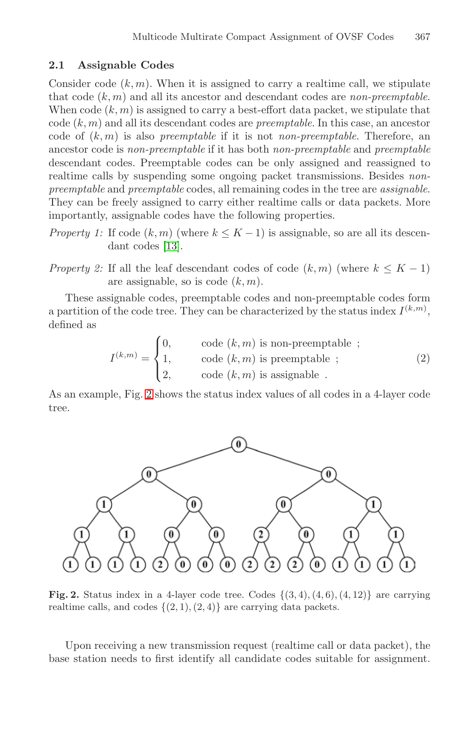### <span id="page-3-0"></span>**2.1 Assignable Codes**

Consider code  $(k, m)$ . When it is assigned to carry a realtime call, we stipulate that code (k,m) and all its ancestor and descendant codes are *non-preemptable*. When code  $(k, m)$  is assigned to carry a best-effort data packet, we stipulate that code (k,m) and all its descendant codes are *preemptable*. In this case, an ancestor code of (k,m) is also *preemptable* if it is not *non-preemptable*. Therefore, an ancestor code is *non-preemptable* if it has both *non-preemptable* and *preemptable* descendant codes. Preemptable codes can be only assigned and reassigned to realtime calls by suspending some ongoing packet transmissions. Besides *nonpreemptable* and *preemptable* codes, all remaining codes in the tree are *assignable*. They can be freely assigned to carry either realtime calls or data packets. More importantly, assignable codes have the following properties.

- *Property 1:* If code  $(k, m)$  (where  $k \leq K 1$ ) is assignable, so are all its descendant codes [\[13\]](#page-14-0).
- *Property 2:* If all the leaf descendant codes of code  $(k,m)$  (where  $k \leq K 1$ ) are assignable, so is code  $(k, m)$ .

These assignable codes, preemptable codes and non-preemptable codes form a partition of the code tree. They can be characterized by the status index  $I^{(k,m)}$ , defined as

$$
I^{(k,m)} = \begin{cases} 0, & \text{code } (k,m) \text{ is non-preemptable }; \\ 1, & \text{code } (k,m) \text{ is preemptable }; \\ 2, & \text{code } (k,m) \text{ is assignable }.\end{cases} \tag{2}
$$

As an example, Fig. 2 shows the status index values of all codes in a 4-layer code tree.



**Fig. 2.** Status index in a 4-layer code tree. Codes  $\{(3, 4), (4, 6), (4, 12)\}$  are carrying realtime calls, and codes  $\{(2, 1), (2, 4)\}\$ are carrying data packets.

Upon receiving a new transmission request (realtime call or data packet), the base station needs to first identify all candidate codes suitable for assignment.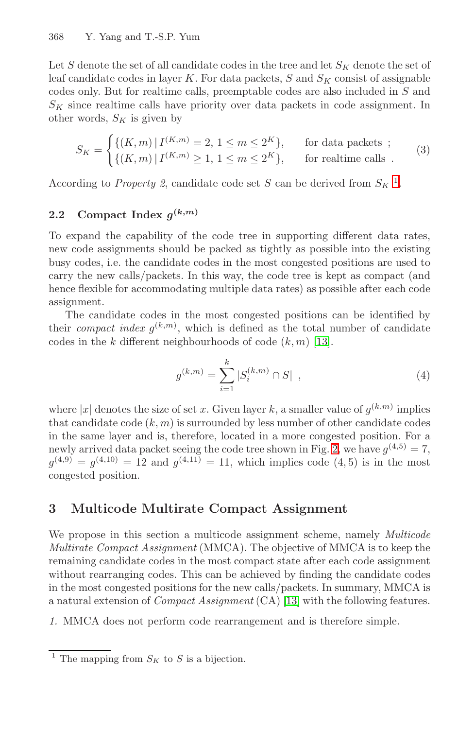<span id="page-4-0"></span>Let S denote the set of all candidate codes in the tree and let  $S_K$  denote the set of leaf candidate codes in layer K. For data packets, S and  $S_K$  consist of assignable codes only. But for realtime calls, preemptable codes are also included in S and  $S_K$  since realtime calls have priority over data packets in code assignment. In other words,  $S_K$  is given by

$$
S_K = \begin{cases} \{(K,m) \mid I^{(K,m)} = 2, 1 \le m \le 2^K\}, & \text{for data packets ;} \\ \{(K,m) \mid I^{(K,m)} \ge 1, 1 \le m \le 2^K\}, & \text{for realtime calls .} \end{cases}
$$
(3)

According to *Property 2*, candidate code set S can be derived from  $S_K$ <sup>1</sup>.

### **2.2** Compact Index  $g^{(k,m)}$

To expand the capability of the code tree in supporting different data rates, new code assignments should be packed as tightly as possible into the existing busy codes, i.e. the candidate codes in the most congested positions are used to carry the new calls/packets. In this way, the code tree is kept as compact (and hence flexible for accommodating multiple data rates) as possible after each code assignment.

The candidate codes in the most congested positions can be identified by their *compact index*  $g^{(k,m)}$ , which is defined as the total number of candidate codes in the  $k$  different neighbourhoods of code  $(k, m)$  [\[13\]](#page-14-0).

$$
g^{(k,m)} = \sum_{i=1}^{k} |S_i^{(k,m)} \cap S| \quad , \tag{4}
$$

where |x| denotes the size of set x. Given layer k, a smaller value of  $g^{(k,m)}$  implies that candidate code  $(k, m)$  is surrounded by less number of other candidate codes in the same layer and is, therefore, located in a more congested position. For a newly arrived data packet seeing the code tree shown in Fig. [2](#page-3-0), we have  $q^{(4,5)} = 7$ ,  $q^{(4,9)} = q^{(4,10)} = 12$  and  $q^{(4,11)} = 11$ , which implies code (4, 5) is in the most congested position.

# **3 Multicode Multirate Compact Assignment**

We propose in this section a multicode assignment scheme, namely *Multicode Multirate Compact Assignment* (MMCA). The objective of MMCA is to keep the remaining candidate codes in the most compact state after each code assignment without rearranging codes. This can be achieved by finding the candidate codes in the most congested positions for the new calls/packets. In summary, MMCA is a natural extension of *Compact Assignment* (CA) [\[13\]](#page-14-0) with the following features.

*1.* MMCA does not perform code rearrangement and is therefore simple.

<sup>&</sup>lt;sup>1</sup> The mapping from  $S_K$  to S is a bijection.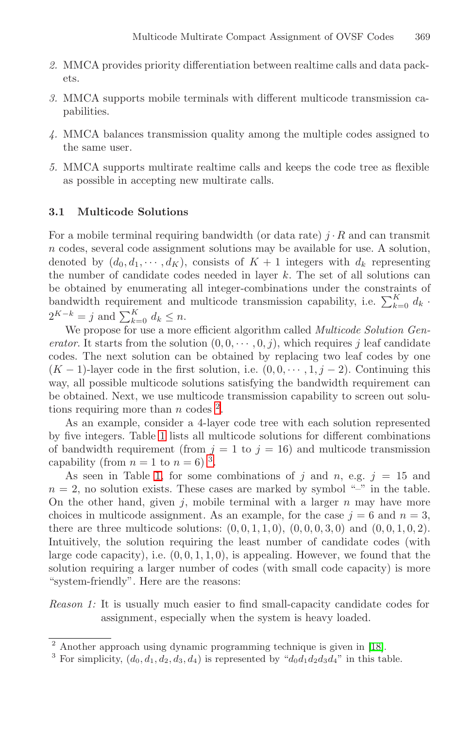- <span id="page-5-0"></span>*2.* MMCA provides priority differentiation between realtime calls and data packets.
- *3.* MMCA supports mobile terminals with different multicode transmission capabilities.
- *4.* MMCA balances transmission quality among the multiple codes assigned to the same user.
- *5.* MMCA supports multirate realtime calls and keeps the code tree as flexible as possible in accepting new multirate calls.

### **3.1 Multicode Solutions**

For a mobile terminal requiring bandwidth (or data rate)  $j \cdot R$  and can transmit n codes, several code assignment solutions may be available for use. A solution, denoted by  $(d_0, d_1, \dots, d_K)$ , consists of  $K + 1$  integers with  $d_k$  representing the number of candidate codes needed in layer  $k$ . The set of all solutions can be obtained by enumerating all integer-combinations under the constraints of bandwidth requirement and multicode transmission capability, i.e.  $\sum_{k=0}^{K} d_k$ .  $2^{K-k} = j$  and  $\sum_{k=0}^{K} d_k \leq n$ .

We propose for use a more efficient algorithm called *Multicode Solution Generator*. It starts from the solution  $(0, 0, \dots, 0, j)$ , which requires j leaf candidate codes. The next solution can be obtained by replacing two leaf codes by one  $(K-1)$ -layer code in the first solution, i.e.  $(0,0,\dots,1,j-2)$ . Continuing this way, all possible multicode solutions satisfying the bandwidth requirement can be obtained. Next, we use multicode transmission capability to screen out solutions requiring more than n codes  $^2$ .

As an example, consider a 4-layer code tree with each solution represented by five integers. Table [1](#page-6-0) lists all multicode solutions for different combinations of bandwidth requirement (from  $j = 1$  to  $j = 16$ ) and multicode transmission capability (from  $n = 1$  to  $n = 6$ )<sup>3</sup>.

As seen in Table [1,](#page-6-0) for some combinations of j and n, e.g.  $j = 15$  and  $n = 2$ , no solution exists. These cases are marked by symbol "-" in the table. On the other hand, given  $j$ , mobile terminal with a larger  $n$  may have more choices in multicode assignment. As an example, for the case  $j = 6$  and  $n = 3$ , there are three multicode solutions:  $(0, 0, 1, 1, 0)$ ,  $(0, 0, 0, 3, 0)$  and  $(0, 0, 1, 0, 2)$ . Intuitively, the solution requiring the least number of candidate codes (with large code capacity), i.e.  $(0, 0, 1, 1, 0)$ , is appealing. However, we found that the solution requiring a larger number of codes (with small code capacity) is more "system-friendly". Here are the reasons:

*Reason 1:* It is usually much easier to find small-capacity candidate codes for assignment, especially when the system is heavy loaded.

<sup>2</sup> Another approach using dynamic programming technique is given in [\[18\]](#page-14-0).

<sup>&</sup>lt;sup>3</sup> For simplicity,  $(d_0, d_1, d_2, d_3, d_4)$  is represented by " $d_0d_1d_2d_3d_4$ " in this table.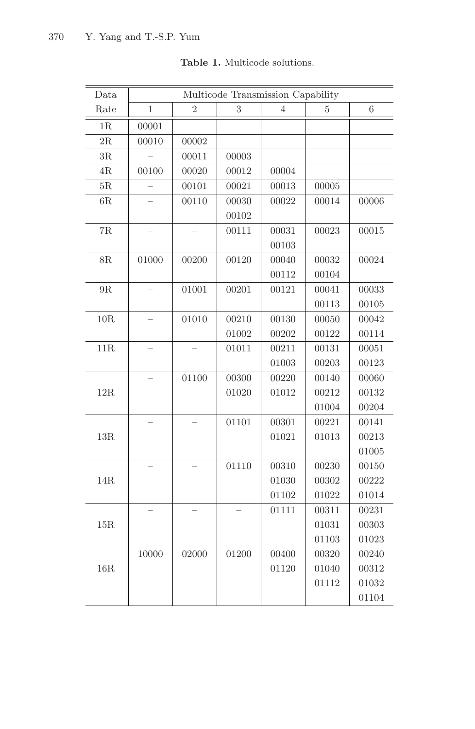<span id="page-6-0"></span>

| Data          | Multicode Transmission Capability |                |       |                |       |       |
|---------------|-----------------------------------|----------------|-------|----------------|-------|-------|
| Rate          | 1                                 | $\overline{2}$ | 3     | $\overline{4}$ | 5     | 6     |
| 1R            | 00001                             |                |       |                |       |       |
| $2\mathrm{R}$ | 00010                             | 00002          |       |                |       |       |
| $3\mathrm{R}$ |                                   | 00011          | 00003 |                |       |       |
| $4\mathrm{R}$ | 00100                             | 00020          | 00012 | 00004          |       |       |
| 5R            |                                   | 00101          | 00021 | 00013          | 00005 |       |
| 6R            |                                   | 00110          | 00030 | 00022          | 00014 | 00006 |
|               |                                   |                | 00102 |                |       |       |
| $7R$          |                                   |                | 00111 | 00031          | 00023 | 00015 |
|               |                                   |                |       | 00103          |       |       |
| 8R            | 01000                             | 00200          | 00120 | 00040          | 00032 | 00024 |
|               |                                   |                |       | 00112          | 00104 |       |
| $9\mathrm{R}$ |                                   | 01001          | 00201 | 00121          | 00041 | 00033 |
|               |                                   |                |       |                | 00113 | 00105 |
| 10R           |                                   | 01010          | 00210 | 00130          | 00050 | 00042 |
|               |                                   |                | 01002 | 00202          | 00122 | 00114 |
| $11R$         |                                   |                | 01011 | 00211          | 00131 | 00051 |
|               |                                   |                |       | 01003          | 00203 | 00123 |
|               |                                   | 01100          | 00300 | 00220          | 00140 | 00060 |
| 12R           |                                   |                | 01020 | 01012          | 00212 | 00132 |
|               |                                   |                |       |                | 01004 | 00204 |
|               |                                   |                | 01101 | 00301          | 00221 | 00141 |
| $13R$         |                                   |                |       | 01021          | 01013 | 00213 |
|               |                                   |                |       |                |       | 01005 |
|               |                                   |                | 01110 | 00310          | 00230 | 00150 |
| 14R           |                                   |                |       | 01030          | 00302 | 00222 |
|               |                                   |                |       | 01102          | 01022 | 01014 |
|               |                                   |                |       | 01111          | 00311 | 00231 |
| 15R           |                                   |                |       |                | 01031 | 00303 |
|               |                                   |                |       |                | 01103 | 01023 |
|               | 10000                             | 02000          | 01200 | 00400          | 00320 | 00240 |
| 16R           |                                   |                |       | 01120          | 01040 | 00312 |
|               |                                   |                |       |                | 01112 | 01032 |
|               |                                   |                |       |                |       | 01104 |

### **Table 1.** Multicode solutions.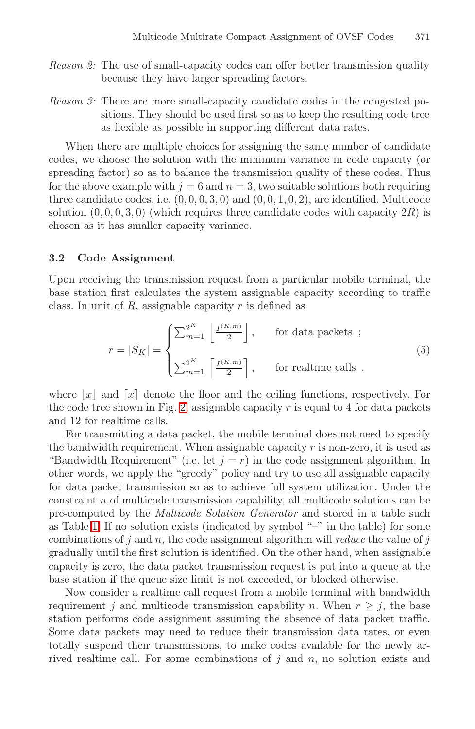- <span id="page-7-0"></span>*Reason 2:* The use of small-capacity codes can offer better transmission quality because they have larger spreading factors.
- *Reason 3:* There are more small-capacity candidate codes in the congested positions. They should be used first so as to keep the resulting code tree as flexible as possible in supporting different data rates.

When there are multiple choices for assigning the same number of candidate codes, we choose the solution with the minimum variance in code capacity (or spreading factor) so as to balance the transmission quality of these codes. Thus for the above example with  $j = 6$  and  $n = 3$ , two suitable solutions both requiring three candidate codes, i.e.  $(0, 0, 0, 3, 0)$  and  $(0, 0, 1, 0, 2)$ , are identified. Multicode solution  $(0, 0, 0, 3, 0)$  (which requires three candidate codes with capacity  $2R$ ) is chosen as it has smaller capacity variance.

#### **3.2 Code Assignment**

Upon receiving the transmission request from a particular mobile terminal, the base station first calculates the system assignable capacity according to traffic class. In unit of  $R$ , assignable capacity  $r$  is defined as

$$
r = |S_K| = \begin{cases} \sum_{m=1}^{2^K} \left\lfloor \frac{I^{(K,m)}}{2} \right\rfloor, & \text{for data packets ;} \\ \sum_{m=1}^{2^K} \left\lceil \frac{I^{(K,m)}}{2} \right\rceil, & \text{for realtime calls .} \end{cases} \tag{5}
$$

where  $x \mid x$  and  $\lceil x \rceil$  denote the floor and the ceiling functions, respectively. For the code tree shown in Fig. [2,](#page-3-0) assignable capacity  $r$  is equal to 4 for data packets and 12 for realtime calls.

For transmitting a data packet, the mobile terminal does not need to specify the bandwidth requirement. When assignable capacity  $r$  is non-zero, it is used as "Bandwidth Requirement" (i.e. let  $j = r$ ) in the code assignment algorithm. In other words, we apply the "greedy" policy and try to use all assignable capacity for data packet transmission so as to achieve full system utilization. Under the constraint n of multicode transmission capability, all multicode solutions can be pre-computed by the *Multicode Solution Generator* and stored in a table such as Table [1.](#page-6-0) If no solution exists (indicated by symbol "–" in the table) for some combinations of j and n, the code assignment algorithm will *reduce* the value of j gradually until the first solution is identified. On the other hand, when assignable capacity is zero, the data packet transmission request is put into a queue at the base station if the queue size limit is not exceeded, or blocked otherwise.

Now consider a realtime call request from a mobile terminal with bandwidth requirement j and multicode transmission capability n. When  $r \geq j$ , the base station performs code assignment assuming the absence of data packet traffic. Some data packets may need to reduce their transmission data rates, or even totally suspend their transmissions, to make codes available for the newly arrived realtime call. For some combinations of  $j$  and  $n$ , no solution exists and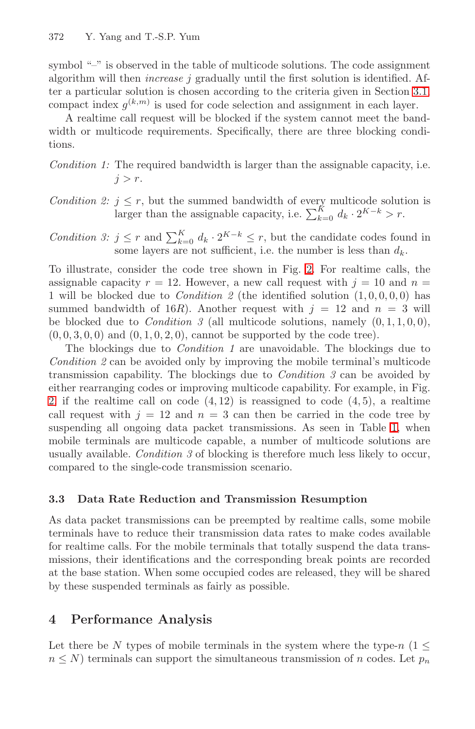<span id="page-8-0"></span>symbol "–" is observed in the table of multicode solutions. The code assignment algorithm will then *increase* j gradually until the first solution is identified. After a particular solution is chosen according to the criteria given in Section [3.1,](#page-5-0) compact index  $g^{(k,m)}$  is used for code selection and assignment in each layer.

A realtime call request will be blocked if the system cannot meet the bandwidth or multicode requirements. Specifically, there are three blocking conditions.

*Condition 1:* The required bandwidth is larger than the assignable capacity, i.e.  $i>r$ .

*Condition 2:*  $j \leq r$ , but the summed bandwidth of every multicode solution is larger than the assignable capacity, i.e.  $\sum_{k=0}^{K} d_k \cdot 2^{K-k} > r$ .

*Condition 3:*  $j \leq r$  and  $\sum_{k=0}^{K} d_k \cdot 2^{K-k} \leq r$ , but the candidate codes found in some layers are not sufficient, i.e. the number is less than  $d_k$ .

To illustrate, consider the code tree shown in Fig. [2.](#page-3-0) For realtime calls, the assignable capacity  $r = 12$ . However, a new call request with  $j = 10$  and  $n =$ 1 will be blocked due to *Condition 2* (the identified solution  $(1, 0, 0, 0, 0)$  has summed bandwidth of 16R). Another request with  $j = 12$  and  $n = 3$  will be blocked due to *Condition 3* (all multicode solutions, namely  $(0, 1, 1, 0, 0)$ ,  $(0, 0, 3, 0, 0)$  and  $(0, 1, 0, 2, 0)$ , cannot be supported by the code tree).

The blockings due to *Condition 1* are unavoidable. The blockings due to *Condition 2* can be avoided only by improving the mobile terminal's multicode transmission capability. The blockings due to *Condition 3* can be avoided by either rearranging codes or improving multicode capability. For example, in Fig. [2,](#page-3-0) if the realtime call on code  $(4, 12)$  is reassigned to code  $(4, 5)$ , a realtime call request with  $j = 12$  and  $n = 3$  can then be carried in the code tree by suspending all ongoing data packet transmissions. As seen in Table [1,](#page-6-0) when mobile terminals are multicode capable, a number of multicode solutions are usually available. *Condition 3* of blocking is therefore much less likely to occur, compared to the single-code transmission scenario.

# **3.3 Data Rate Reduction and Transmission Resumption**

As data packet transmissions can be preempted by realtime calls, some mobile terminals have to reduce their transmission data rates to make codes available for realtime calls. For the mobile terminals that totally suspend the data transmissions, their identifications and the corresponding break points are recorded at the base station. When some occupied codes are released, they will be shared by these suspended terminals as fairly as possible.

# **4 Performance Analysis**

Let there be N types of mobile terminals in the system where the type-n ( $1 \le$  $n \leq N$ ) terminals can support the simultaneous transmission of n codes. Let  $p_n$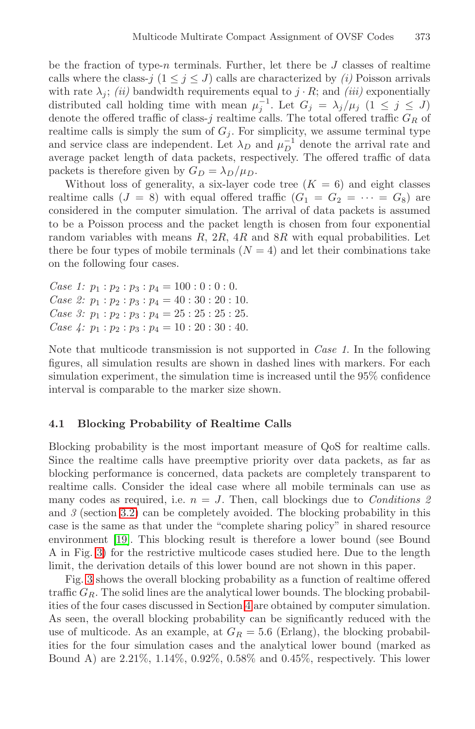be the fraction of type-n terminals. Further, let there be  $J$  classes of realtime calls where the class- $j$  ( $1 \leq j \leq J$ ) calls are characterized by *(i)* Poisson arrivals with rate  $\lambda_j$ ; *(ii)* bandwidth requirements equal to  $j \cdot R$ ; and *(iii)* exponentially distributed call holding time with mean  $\mu_i^{-1}$ . Let  $G_j = \lambda_j/\mu_j$  ( $1 \leq j \leq J$ ) denote the offered traffic of class-j realtime calls. The total offered traffic  $G_R$  of realtime calls is simply the sum of  $G_i$ . For simplicity, we assume terminal type and service class are independent. Let  $\lambda_D$  and  $\mu_D^{-1}$  denote the arrival rate and average packet length of data packets, respectively. The offered traffic of data packets is therefore given by  $G_D = \lambda_D/\mu_D$ .

Without loss of generality, a six-layer code tree  $(K = 6)$  and eight classes realtime calls  $(J = 8)$  with equal offered traffic  $(G_1 = G_2 = \cdots = G_8)$  are considered in the computer simulation. The arrival of data packets is assumed to be a Poisson process and the packet length is chosen from four exponential random variables with means  $R$ ,  $2R$ ,  $4R$  and  $8R$  with equal probabilities. Let there be four types of mobile terminals  $(N = 4)$  and let their combinations take on the following four cases.

*Case 1:*  $p_1 : p_2 : p_3 : p_4 = 100 : 0 : 0 : 0$ . *Case 2:*  $p_1 : p_2 : p_3 : p_4 = 40 : 30 : 20 : 10$ . *Case 3:*  $p_1 : p_2 : p_3 : p_4 = 25 : 25 : 25 : 25$ . *Case 4:*  $p_1 : p_2 : p_3 : p_4 = 10 : 20 : 30 : 40$ .

Note that multicode transmission is not supported in *Case 1*. In the following figures, all simulation results are shown in dashed lines with markers. For each simulation experiment, the simulation time is increased until the 95% confidence interval is comparable to the marker size shown.

### **4.1 Blocking Probability of Realtime Calls**

Blocking probability is the most important measure of QoS for realtime calls. Since the realtime calls have preemptive priority over data packets, as far as blocking performance is concerned, data packets are completely transparent to realtime calls. Consider the ideal case where all mobile terminals can use as many codes as required, i.e.  $n = J$ . Then, call blockings due to *Conditions 2* and *3* (section [3.2\)](#page-7-0) can be completely avoided. The blocking probability in this case is the same as that under the "complete sharing policy" in shared resource environment [\[19\]](#page-14-0). This blocking result is therefore a lower bound (see Bound A in Fig. [3\)](#page-10-0) for the restrictive multicode cases studied here. Due to the length limit, the derivation details of this lower bound are not shown in this paper.

Fig. [3](#page-10-0) shows the overall blocking probability as a function of realtime offered traffic  $G_R$ . The solid lines are the analytical lower bounds. The blocking probabilities of the four cases discussed in Section [4](#page-8-0) are obtained by computer simulation. As seen, the overall blocking probability can be significantly reduced with the use of multicode. As an example, at  $G_R = 5.6$  (Erlang), the blocking probabilities for the four simulation cases and the analytical lower bound (marked as Bound A) are 2.21%, 1.14%, 0.92%, 0.58% and 0.45%, respectively. This lower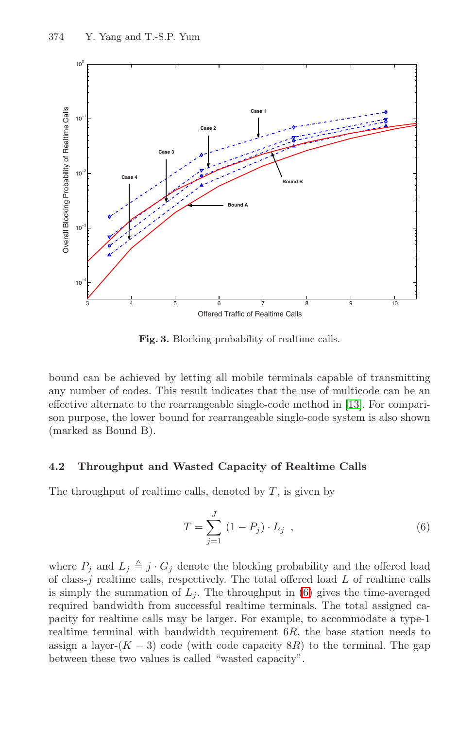<span id="page-10-0"></span>

**Fig. 3.** Blocking probability of realtime calls.

bound can be achieved by letting all mobile terminals capable of transmitting any number of codes. This result indicates that the use of multicode can be an effective alternate to the rearrangeable single-code method in [\[13\]](#page-14-0). For comparison purpose, the lower bound for rearrangeable single-code system is also shown (marked as Bound B).

#### **4.2 Throughput and Wasted Capacity of Realtime Calls**

The throughput of realtime calls, denoted by  $T$ , is given by

$$
T = \sum_{j=1}^{J} (1 - P_j) \cdot L_j , \qquad (6)
$$

where  $P_i$  and  $L_i \triangleq j \cdot G_i$  denote the blocking probability and the offered load of class- $j$  realtime calls, respectively. The total offered load  $L$  of realtime calls is simply the summation of  $L_i$ . The throughput in (6) gives the time-averaged required bandwidth from successful realtime terminals. The total assigned capacity for realtime calls may be larger. For example, to accommodate a type-1 realtime terminal with bandwidth requirement  $6R$ , the base station needs to assign a layer- $(K-3)$  code (with code capacity  $8R$ ) to the terminal. The gap between these two values is called "wasted capacity".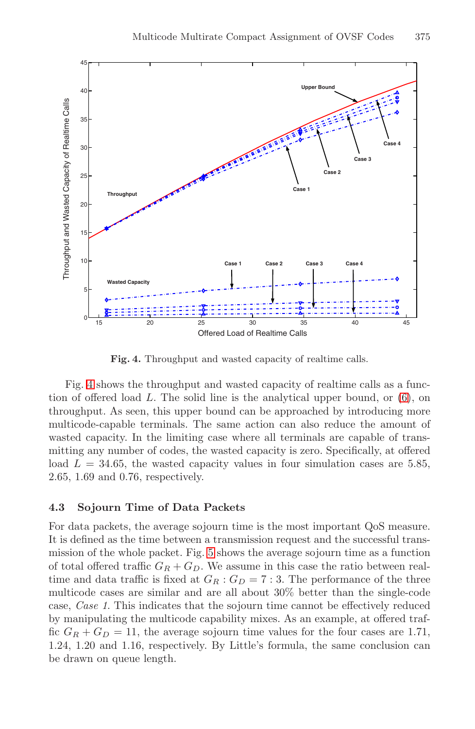

**Fig. 4.** Throughput and wasted capacity of realtime calls.

Fig. 4 shows the throughput and wasted capacity of realtime calls as a function of offered load L. The solid line is the analytical upper bound, or [\(6\)](#page-10-0), on throughput. As seen, this upper bound can be approached by introducing more multicode-capable terminals. The same action can also reduce the amount of wasted capacity. In the limiting case where all terminals are capable of transmitting any number of codes, the wasted capacity is zero. Specifically, at offered load  $L = 34.65$ , the wasted capacity values in four simulation cases are 5.85, 2.65, 1.69 and 0.76, respectively.

#### **4.3 Sojourn Time of Data Packets**

For data packets, the average sojourn time is the most important QoS measure. It is defined as the time between a transmission request and the successful transmission of the whole packet. Fig. [5](#page-12-0) shows the average sojourn time as a function of total offered traffic  $G_R + G_D$ . We assume in this case the ratio between realtime and data traffic is fixed at  $G_R : G_D = 7 : 3$ . The performance of the three multicode cases are similar and are all about 30% better than the single-code case, *Case 1*. This indicates that the sojourn time cannot be effectively reduced by manipulating the multicode capability mixes. As an example, at offered traffic  $G_R + G_D = 11$ , the average sojourn time values for the four cases are 1.71, 1.24, 1.20 and 1.16, respectively. By Little's formula, the same conclusion can be drawn on queue length.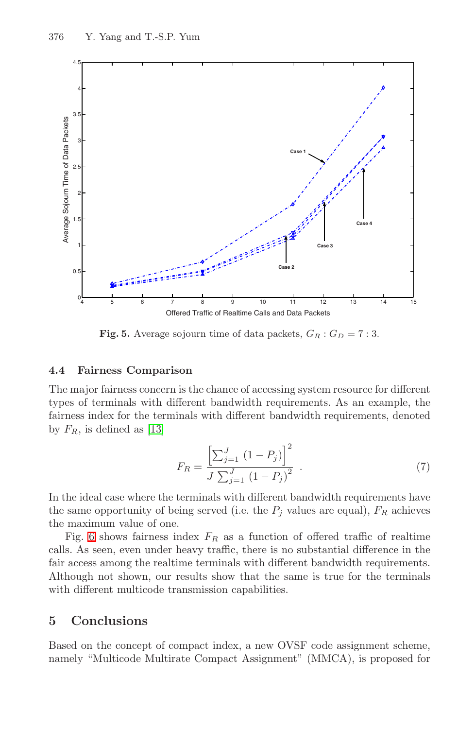<span id="page-12-0"></span>

**Fig. 5.** Average sojourn time of data packets,  $G_R : G_D = 7 : 3$ .

#### **4.4 Fairness Comparison**

The major fairness concern is the chance of accessing system resource for different types of terminals with different bandwidth requirements. As an example, the fairness index for the terminals with different bandwidth requirements, denoted by  $F_R$ , is defined as [\[13\]](#page-14-0)

$$
F_R = \frac{\left[\sum_{j=1}^{J} (1 - P_j)\right]^2}{J \sum_{j=1}^{J} (1 - P_j)^2} \tag{7}
$$

In the ideal case where the terminals with different bandwidth requirements have the same opportunity of being served (i.e. the  $P_j$  values are equal),  $F_R$  achieves the maximum value of one.

Fig. [6](#page-13-0) shows fairness index  $F_R$  as a function of offered traffic of realtime calls. As seen, even under heavy traffic, there is no substantial difference in the fair access among the realtime terminals with different bandwidth requirements. Although not shown, our results show that the same is true for the terminals with different multicode transmission capabilities.

# **5 Conclusions**

Based on the concept of compact index, a new OVSF code assignment scheme, namely "Multicode Multirate Compact Assignment" (MMCA), is proposed for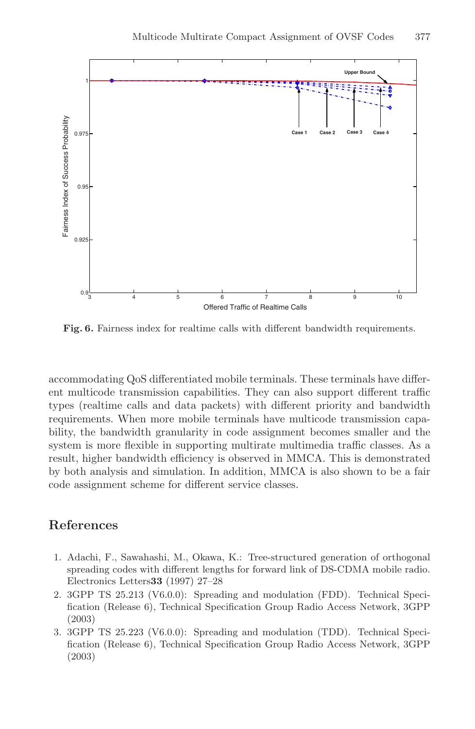<span id="page-13-0"></span>

**Fig. 6.** Fairness index for realtime calls with different bandwidth requirements.

accommodating QoS differentiated mobile terminals. These terminals have different multicode transmission capabilities. They can also support different traffic types (realtime calls and data packets) with different priority and bandwidth requirements. When more mobile terminals have multicode transmission capability, the bandwidth granularity in code assignment becomes smaller and the system is more flexible in supporting multirate multimedia traffic classes. As a result, higher bandwidth efficiency is observed in MMCA. This is demonstrated by both analysis and simulation. In addition, MMCA is also shown to be a fair code assignment scheme for different service classes.

### **References**

- 1. Adachi, F., Sawahashi, M., Okawa, K.: Tree-structured generation of orthogonal spreading codes with different lengths for forward link of DS-CDMA mobile radio. Electronics Letters**33** (1997) 27–28
- 2. 3GPP TS 25.213 (V6.0.0): Spreading and modulation (FDD). Technical Specification (Release 6), Technical Specification Group Radio Access Network, 3GPP (2003)
- 3. 3GPP TS 25.223 (V6.0.0): Spreading and modulation (TDD). Technical Specification (Release 6), Technical Specification Group Radio Access Network, 3GPP (2003)